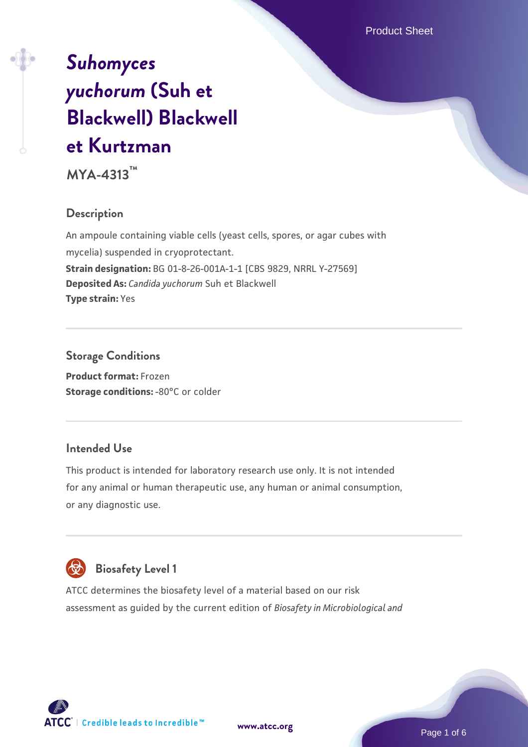# *[Suhomyces](https://www.atcc.org/products/mya-4313) [yuchorum](https://www.atcc.org/products/mya-4313)* **[\(Suh et](https://www.atcc.org/products/mya-4313) [Blackwell\) Blackwell](https://www.atcc.org/products/mya-4313) [et Kurtzman](https://www.atcc.org/products/mya-4313)**

**MYA-4313™**

## **Description**

An ampoule containing viable cells (yeast cells, spores, or agar cubes with mycelia) suspended in cryoprotectant. **Strain designation:** BG 01-8-26-001A-1-1 [CBS 9829, NRRL Y-27569] **Deposited As:** *Candida yuchorum* Suh et Blackwell **Type strain:** Yes

## **Storage Conditions**

**Product format:** Frozen **Storage conditions: -80°C or colder** 

## **Intended Use**

This product is intended for laboratory research use only. It is not intended for any animal or human therapeutic use, any human or animal consumption, or any diagnostic use.



## **Biosafety Level 1**

ATCC determines the biosafety level of a material based on our risk assessment as guided by the current edition of *Biosafety in Microbiological and*

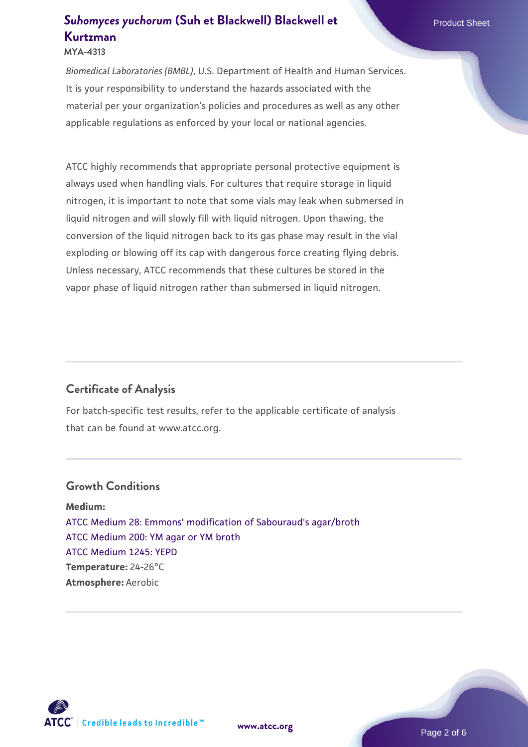#### **MYA-4313**

*Biomedical Laboratories (BMBL)*, U.S. Department of Health and Human Services. It is your responsibility to understand the hazards associated with the material per your organization's policies and procedures as well as any other applicable regulations as enforced by your local or national agencies.

ATCC highly recommends that appropriate personal protective equipment is always used when handling vials. For cultures that require storage in liquid nitrogen, it is important to note that some vials may leak when submersed in liquid nitrogen and will slowly fill with liquid nitrogen. Upon thawing, the conversion of the liquid nitrogen back to its gas phase may result in the vial exploding or blowing off its cap with dangerous force creating flying debris. Unless necessary, ATCC recommends that these cultures be stored in the vapor phase of liquid nitrogen rather than submersed in liquid nitrogen.

## **Certificate of Analysis**

For batch-specific test results, refer to the applicable certificate of analysis that can be found at www.atcc.org.

#### **Growth Conditions**

**Medium:**  [ATCC Medium 28: Emmons' modification of Sabouraud's agar/broth](https://www.atcc.org/-/media/product-assets/documents/microbial-media-formulations/2/8/atcc-medium-28.pdf?rev=0da0c58cc2a343eeae735016b70809bb) [ATCC Medium 200: YM agar or YM broth](https://www.atcc.org/-/media/product-assets/documents/microbial-media-formulations/2/0/0/atcc-medium-200.pdf?rev=ac40fd74dc13433a809367b0b9da30fc) [ATCC Medium 1245: YEPD](https://www.atcc.org/-/media/product-assets/documents/microbial-media-formulations/1/2/4/5/atcc-medium-1245.pdf?rev=705ca55d1b6f490a808a965d5c072196) **Temperature:** 24-26°C **Atmosphere:** Aerobic



**[www.atcc.org](http://www.atcc.org)**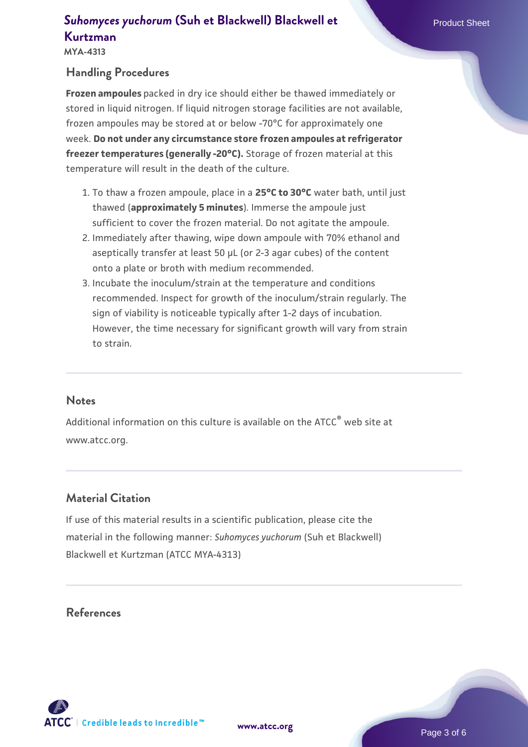**MYA-4313**

#### **Handling Procedures**

**Frozen ampoules** packed in dry ice should either be thawed immediately or stored in liquid nitrogen. If liquid nitrogen storage facilities are not available, frozen ampoules may be stored at or below -70°C for approximately one week. **Do not under any circumstance store frozen ampoules at refrigerator freezer temperatures (generally -20°C).** Storage of frozen material at this temperature will result in the death of the culture.

- 1. To thaw a frozen ampoule, place in a **25°C to 30°C** water bath, until just thawed (**approximately 5 minutes**). Immerse the ampoule just sufficient to cover the frozen material. Do not agitate the ampoule.
- 2. Immediately after thawing, wipe down ampoule with 70% ethanol and aseptically transfer at least 50 µL (or 2-3 agar cubes) of the content onto a plate or broth with medium recommended.
- Incubate the inoculum/strain at the temperature and conditions 3. recommended. Inspect for growth of the inoculum/strain regularly. The sign of viability is noticeable typically after 1-2 days of incubation. However, the time necessary for significant growth will vary from strain to strain.

#### **Notes**

Additional information on this culture is available on the ATCC® web site at www.atcc.org.

#### **Material Citation**

If use of this material results in a scientific publication, please cite the material in the following manner: *Suhomyces yuchorum* (Suh et Blackwell) Blackwell et Kurtzman (ATCC MYA-4313)

#### **References**



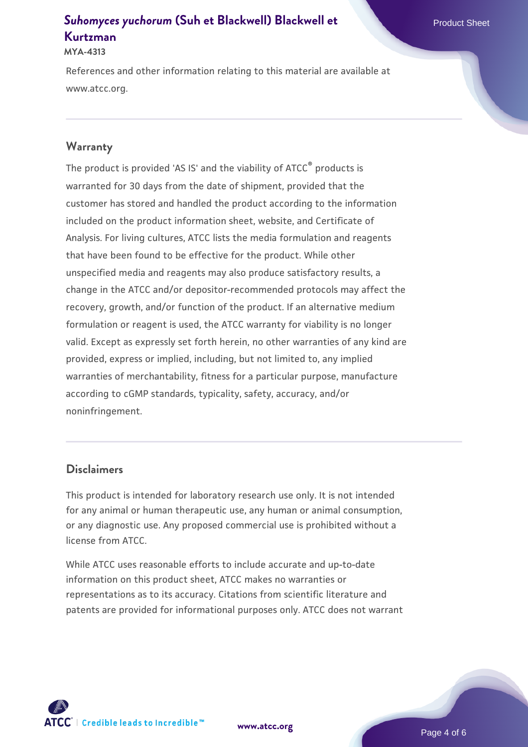#### **MYA-4313**

References and other information relating to this material are available at www.atcc.org.

#### **Warranty**

The product is provided 'AS IS' and the viability of ATCC® products is warranted for 30 days from the date of shipment, provided that the customer has stored and handled the product according to the information included on the product information sheet, website, and Certificate of Analysis. For living cultures, ATCC lists the media formulation and reagents that have been found to be effective for the product. While other unspecified media and reagents may also produce satisfactory results, a change in the ATCC and/or depositor-recommended protocols may affect the recovery, growth, and/or function of the product. If an alternative medium formulation or reagent is used, the ATCC warranty for viability is no longer valid. Except as expressly set forth herein, no other warranties of any kind are provided, express or implied, including, but not limited to, any implied warranties of merchantability, fitness for a particular purpose, manufacture according to cGMP standards, typicality, safety, accuracy, and/or noninfringement.

#### **Disclaimers**

This product is intended for laboratory research use only. It is not intended for any animal or human therapeutic use, any human or animal consumption, or any diagnostic use. Any proposed commercial use is prohibited without a license from ATCC.

While ATCC uses reasonable efforts to include accurate and up-to-date information on this product sheet, ATCC makes no warranties or representations as to its accuracy. Citations from scientific literature and patents are provided for informational purposes only. ATCC does not warrant

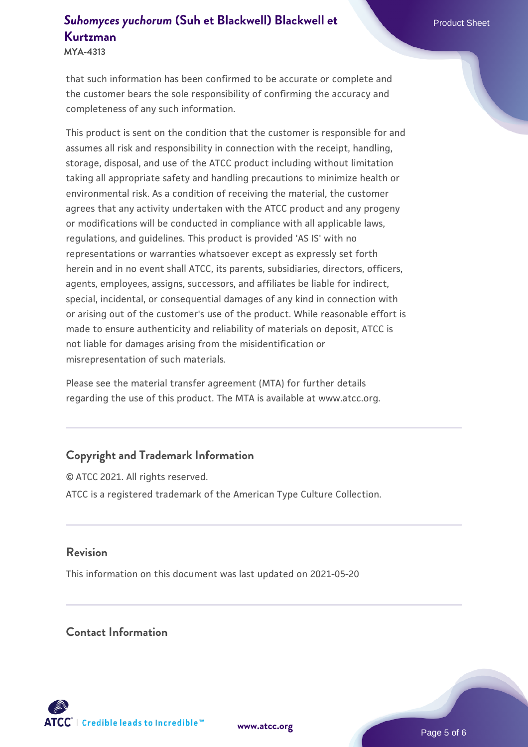**MYA-4313**

that such information has been confirmed to be accurate or complete and the customer bears the sole responsibility of confirming the accuracy and completeness of any such information.

This product is sent on the condition that the customer is responsible for and assumes all risk and responsibility in connection with the receipt, handling, storage, disposal, and use of the ATCC product including without limitation taking all appropriate safety and handling precautions to minimize health or environmental risk. As a condition of receiving the material, the customer agrees that any activity undertaken with the ATCC product and any progeny or modifications will be conducted in compliance with all applicable laws, regulations, and guidelines. This product is provided 'AS IS' with no representations or warranties whatsoever except as expressly set forth herein and in no event shall ATCC, its parents, subsidiaries, directors, officers, agents, employees, assigns, successors, and affiliates be liable for indirect, special, incidental, or consequential damages of any kind in connection with or arising out of the customer's use of the product. While reasonable effort is made to ensure authenticity and reliability of materials on deposit, ATCC is not liable for damages arising from the misidentification or misrepresentation of such materials.

Please see the material transfer agreement (MTA) for further details regarding the use of this product. The MTA is available at www.atcc.org.

## **Copyright and Trademark Information**

© ATCC 2021. All rights reserved. ATCC is a registered trademark of the American Type Culture Collection.

#### **Revision**

This information on this document was last updated on 2021-05-20

#### **Contact Information**



**[www.atcc.org](http://www.atcc.org)**